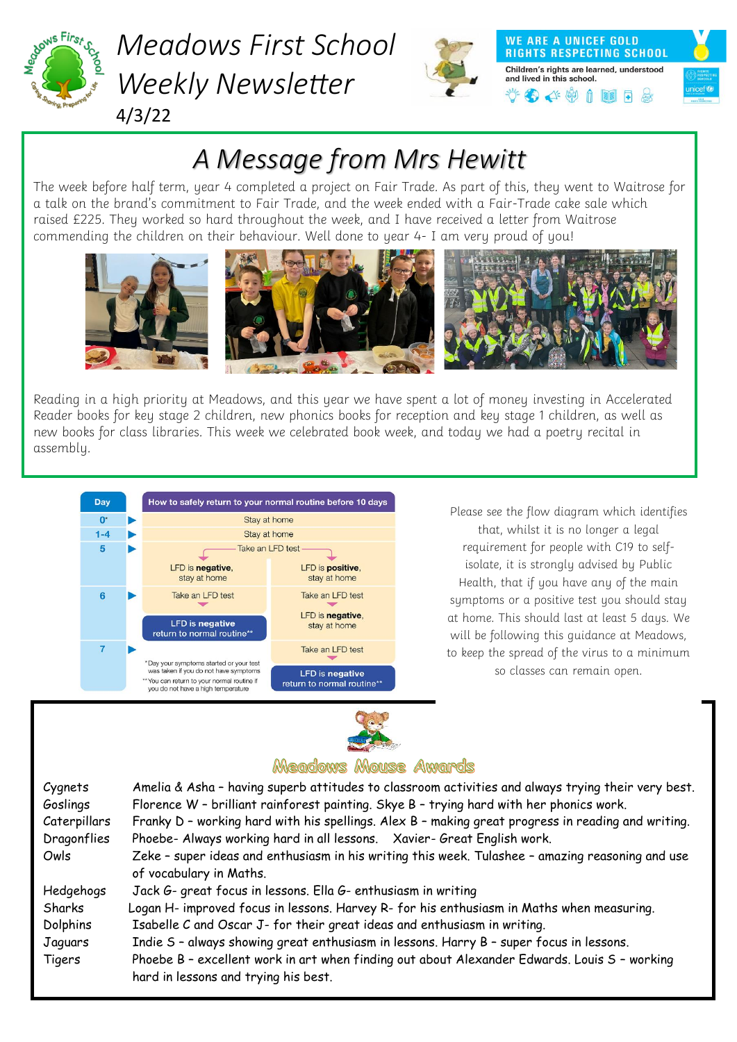

### *Meadows First School Weekly Newsletter* 4/3/22



**WE ARE A UNICEF GOLD RIGHTS RESPECTING SCHOOL** Children's rights are learned, understood and lived in this school.  $\bullet$   $\bullet$   $\bullet$   $\bullet$   $\bullet$   $\bullet$ 



## *A Message from Mrs Hewitt*

The week before half term, year 4 completed a project on Fair Trade. As part of this, they went to Waitrose for a talk on the brand's commitment to Fair Trade, and the week ended with a Fair-Trade cake sale which raised £225. They worked so hard throughout the week, and I have received a letter from Waitrose commending the children on their behaviour. Well done to year 4- I am very proud of you!



Reading in a high priority at Meadows, and this year we have spent a lot of money investing in Accelerated Reader books for key stage 2 children, new phonics books for reception and key stage 1 children, as well as new books for class libraries. This week we celebrated book week, and today we had a poetry recital in assembly.



Please see the flow diagram which identifies that, whilst it is no longer a legal requirement for people with C19 to selfisolate, it is strongly advised by Public Health, that if you have any of the main symptoms or a positive test you should stay at home. This should last at least 5 days. We will be following this guidance at Meadows, to keep the spread of the virus to a minimum so classes can remain open.



### Meadows Mouse Awards

| Cygnets<br>Goslings | Amelia & Asha - having superb attitudes to classroom activities and always trying their very best.<br>Florence W - brilliant rainforest painting. Skye B - trying hard with her phonics work. |
|---------------------|-----------------------------------------------------------------------------------------------------------------------------------------------------------------------------------------------|
| Caterpillars        | Franky D - working hard with his spellings. Alex B - making great progress in reading and writing.                                                                                            |
| Dragonflies         | Phoebe- Always working hard in all lessons. Xavier- Great English work.                                                                                                                       |
| Owls                | Zeke - super ideas and enthusiasm in his writing this week. Tulashee - amazing reasoning and use                                                                                              |
|                     | of vocabulary in Maths.                                                                                                                                                                       |
| Hedgehogs           | Jack G- great focus in lessons. Ella G- enthusiasm in writing                                                                                                                                 |
| Sharks              | Logan H- improved focus in lessons. Harvey R- for his enthusiasm in Maths when measuring.                                                                                                     |
| Dolphins            | Isabelle C and Oscar J- for their great ideas and enthusiasm in writing.                                                                                                                      |
| Jaguars             | Indie S - always showing great enthusiasm in lessons. Harry B - super focus in lessons.                                                                                                       |
| Tigers              | Phoebe B - excellent work in art when finding out about Alexander Edwards. Louis S - working<br>hard in lessons and trying his best.                                                          |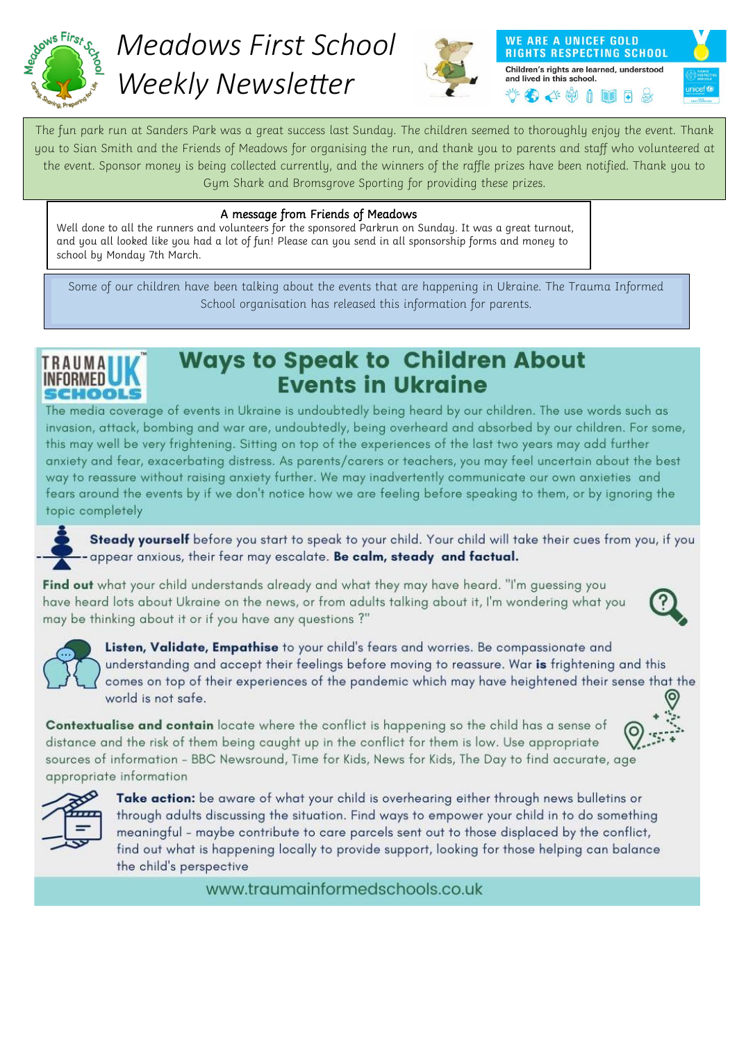

## *Meadows First School Weekly Newsletter*



**WE ARE A UNICEF GOLD RIGHTS RESPECTING SCHOOL** Children's rights are learned, understood and lived in this school. 3441112



#### A message from Friends of Meadows

Well done to all the runners and volunteers for the sponsored Parkrun on Sunday. It was a great turnout, and you all looked like you had a lot of fun! Please can you send in all sponsorship forms and money to school by Monday 7th March.

Some of our children have been talking about the events that are happening in Ukraine. The Trauma Informed School organisation has released this information for parents.

### TRAIIMA **CHOOLS**

### **Ways to Speak to Children About Events in Ukraine**

The media coverage of events in Ukraine is undoubtedly being heard by our children. The use words such as invasion, attack, bombing and war are, undoubtedly, being overheard and absorbed by our children. For some, this may well be very frightening. Sitting on top of the experiences of the last two years may add further anxiety and fear, exacerbating distress. As parents/carers or teachers, you may feel uncertain about the best way to reassure without raising anxiety further. We may inadvertently communicate our own anxieties and fears around the events by if we don't notice how we are feeling before speaking to them, or by ignoring the topic completely

Steady yourself before you start to speak to your child. Your child will take their cues from you, if you appear anxious, their fear may escalate. Be calm, steady and factual.

Find out what your child understands already and what they may have heard. "I'm guessing you have heard lots about Ukraine on the news, or from adults talking about it, I'm wondering what you may be thinking about it or if you have any questions?"





Listen, Validate, Empathise to your child's fears and worries. Be compassionate and understanding and accept their feelings before moving to reassure. War is frightening and this comes on top of their experiences of the pandemic which may have heightened their sense that the world is not safe.

Contextualise and contain locate where the conflict is happening so the child has a sense of distance and the risk of them being caught up in the conflict for them is low. Use appropriate sources of information - BBC Newsround, Time for Kids, News for Kids, The Day to find accurate, age appropriate information





Take action: be aware of what your child is overhearing either through news bulletins or through adults discussing the situation. Find ways to empower your child in to do something meaningful - maybe contribute to care parcels sent out to those displaced by the conflict, find out what is happening locally to provide support, looking for those helping can balance the child's perspective

www.traumainformedschools.co.uk